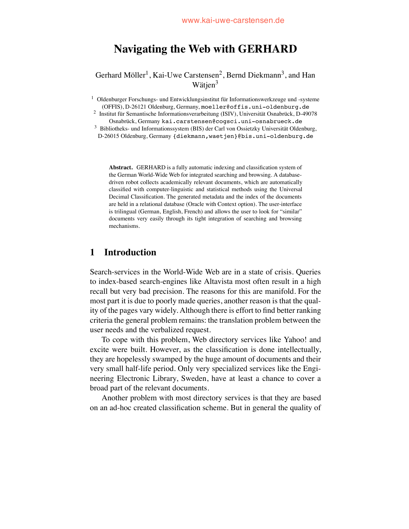# **Navigating the Web with GERHARD**

Gerhard Möller<sup>1</sup>, Kai-Uwe Carstensen<sup>2</sup>, Bernd Diekmann<sup>3</sup>, and Han Wätjen<sup>3</sup>

<sup>1</sup> Oldenburger Forschungs- und Entwicklungsinstitut für Informationswerkzeuge und -systeme (OFFIS), D-26121 Oldenburg, Germany, moeller@offis.uni-oldenburg.de

<sup>2</sup> Institut für Semantische Informationsverarbeitung (ISIV), Universität Osnabrück, D-49078 Osnabrück, Germany kai.carstensen@cogsci.uni-osnabrueck.de

<sup>3</sup> Bibliotheks- und Informationssystem (BIS) der Carl von Ossietzky Universität Oldenburg, D-26015 Oldenburg, Germany {diekmann,waetjen}@bis.uni-oldenburg.de

**Abstract.** GERHARD is a fully automatic indexing and classification system of the German World-Wide Web for integrated searching and browsing. A databasedriven robot collects academically relevant documents, which are automatically classified with computer-linguistic and statistical methods using the Universal Decimal Classification. The generated metadata and the index of the documents are held in a relational database (Oracle with Context option). The user-interface is trilingual (German, English, French) and allows the user to look for "similar" documents very easily through its tight integration of searching and browsing mechanisms.

## **1 Introduction**

Search-services in the World-Wide Web are in a state of crisis. Queries to index-based search-engines like Altavista most often result in a high recall but very bad precision. The reasons for this are manifold. For the most part it is due to poorly made queries, another reason is that the quality of the pages vary widely. Although there is effort to find better ranking criteria the general problem remains: the translation problem between the user needs and the verbalized request.

To cope with this problem, Web directory services like Yahoo! and excite were built. However, as the classification is done intellectually, they are hopelessly swamped by the huge amount of documents and their very small half-life period. Only very specialized services like the Engineering Electronic Library, Sweden, have at least a chance to cover a broad part of the relevant documents.

Another problem with most directory services is that they are based on an ad-hoc created classification scheme. But in general the quality of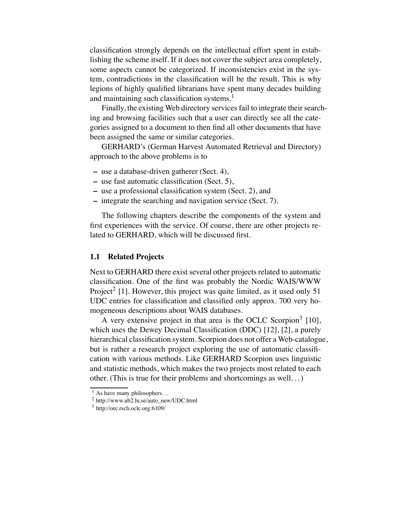classification strongly depends on the intellectual effort spent in establishing the scheme itself. If it does not cover the subject area completely, some aspects cannot be categorized. If inconsistencies exist in the system, contradictions in the classification will be the result. This is why legions of highly qualified librarians have spent many decades building and maintaining such classification systems.<sup>1</sup>

Finally, the existing Web directory services fail to integrate their searching and browsing facilities such that a user can directly see all the categories assigned to a document to then find all other documents that have been assigned the same or similar categories.

GERHARD's (German Harvest Automated Retrieval and Directory) approach to the above problems is to

- **–** use a database-driven gatherer (Sect. 4),
- **–** use fast automatic classification (Sect. 5),
- **–** use a professional classification system (Sect. 2), and
- **–** integrate the searching and navigation service (Sect. 7).

The following chapters describe the components of the system and first experiences with the service. Of course, there are other projects related to GERHARD, which will be discussed first.

#### **1.1 Related Projects**

Next to GERHARD there exist several other projects related to automatic classification. One of the first was probably the Nordic WAIS/WWW Project<sup>2</sup> [1]. However, this project was quite limited, as it used only 51 UDC entries for classification and classified only approx. 700 very homogeneous descriptions about WAIS databases.

A very extensive project in that area is the OCLC Scorpion<sup>3</sup> [10], which uses the Dewey Decimal Classification (DDC) [12], [2], a purely hierarchical classification system. Scorpion does not offer a Web-catalogue, but is rather a research project exploring the use of automatic classification with various methods. Like GERHARD Scorpion uses linguistic and statistic methods, which makes the two projects most related to each other. (This is true for their problems and shortcomings as well...)

<sup>&</sup>lt;sup>1</sup> As have many philosophers...

<sup>2</sup> http://www.ub2.lu.se/auto\_new/UDC.html

<sup>3</sup> http://orc.rsch.oclc.org:6109/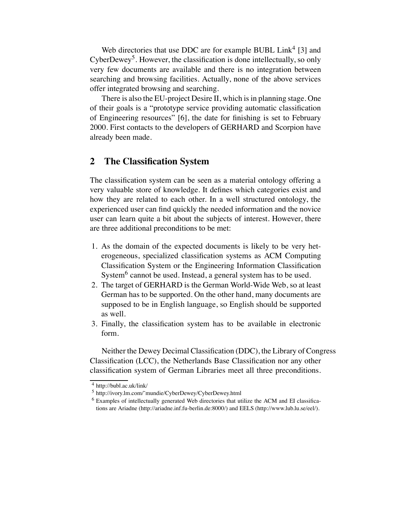Web directories that use DDC are for example BUBL  $Link<sup>4</sup>$  [3] and CyberDewey<sup>5</sup>. However, the classification is done intellectually, so only very few documents are available and there is no integration between searching and browsing facilities. Actually, none of the above services offer integrated browsing and searching.

There is also the EU-project Desire II, which is in planning stage. One of their goals is a "prototype service providing automatic classification of Engineering resources" [6], the date for finishing is set to February 2000. First contacts to the developers of GERHARD and Scorpion have already been made.

## **2 The Classification System**

The classification system can be seen as a material ontology offering a very valuable store of knowledge. It defines which categories exist and how they are related to each other. In a well structured ontology, the experienced user can find quickly the needed information and the novice user can learn quite a bit about the subjects of interest. However, there are three additional preconditions to be met:

- 1. As the domain of the expected documents is likely to be very heterogeneous, specialized classification systems as ACM Computing Classification System or the Engineering Information Classification System<sup>6</sup> cannot be used. Instead, a general system has to be used.
- 2. The target of GERHARD is the German World-Wide Web, so at least German has to be supported. On the other hand, many documents are supposed to be in English language, so English should be supported as well.
- 3. Finally, the classification system has to be available in electronic form.

Neither the Dewey Decimal Classification (DDC), the Library of Congress Classification (LCC), the Netherlands Base Classification nor any other classification system of German Libraries meet all three preconditions.

<sup>4</sup> http://bubl.ac.uk/link/

<sup>5</sup> http://ivory.lm.com/˜mundie/CyberDewey/CyberDewey.html

<sup>6</sup> Examples of intellectually generated Web directories that utilize the ACM and EI classifications are Ariadne (http://ariadne.inf.fu-berlin.de:8000/) and EELS (http://www.lub.lu.se/eel/).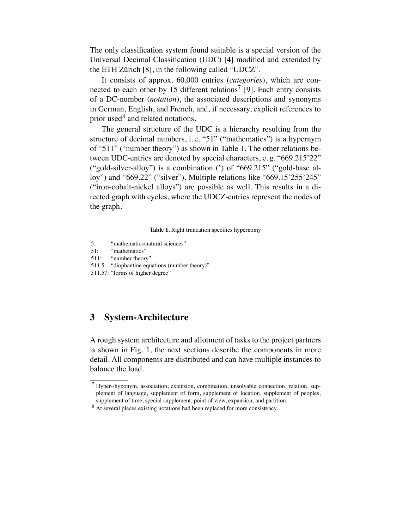The only classification system found suitable is a special version of the Universal Decimal Classification (UDC) [4] modified and extended by the ETH Zürich [8], in the following called "UDCZ".

It consists of approx. 60,000 entries (*categories*), which are connected to each other by 15 different relations<sup>7</sup> [9]. Each entry consists of a DC-number (*notation*), the associated descriptions and synonyms in German, English, and French, and, if necessary, explicit references to prior used<sup>8</sup> and related notations.

The general structure of the UDC is a hierarchy resulting from the structure of decimal numbers, i. e. "51" ("mathematics") is a hypernym of "511" ("number theory") as shown in Table 1. The other relations between UDC-entries are denoted by special characters, e. g. "669.215'22" ("gold-silver-alloy") is a combination (') of "669.215" ("gold-base alloy") and "669.22" ("silver"). Multiple relations like "669.15'255'245" ("iron-cobalt-nickel alloys") are possible as well. This results in a directed graph with cycles, where the UDCZ-entries represent the nodes of the graph.

**Table 1.** Right truncation specifies hypernomy

- 5: "mathematics/natural sciences"
- 51: "mathematics"
- 511: "number theory"
- 511.5: "diophantine equations (number theory)"
- 511.57: "forms of higher degree"

## **3 System-Architecture**

A rough system architecture and allotment of tasks to the project partners is shown in Fig. 1, the next sections describe the components in more detail. All components are distributed and can have multiple instances to balance the load.

 $<sup>7</sup>$  Hyper-/hyponym, association, extension, combination, unsolvable connection, relation, sup-</sup> plement of language, supplement of form, supplement of location, supplement of peoples, supplement of time, special supplement, point of view, expansion, and partition.

<sup>&</sup>lt;sup>8</sup> At several places existing notations had been replaced for more consistency.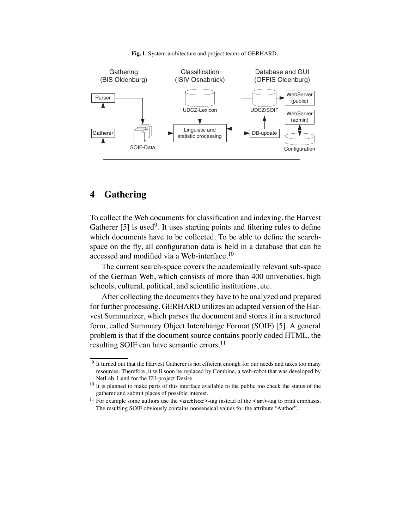**Fig. 1.** System-architecture and project teams of GERHARD.



## **4 Gathering**

To collect the Web documents for classification and indexing, the Harvest Gatherer [5] is used<sup>9</sup>. It uses starting points and filtering rules to define which documents have to be collected. To be able to define the searchspace on the fly, all configuration data is held in a database that can be accessed and modified via a Web-interface.<sup>10</sup>

The current search-space covers the academically relevant sub-space of the German Web, which consists of more than 400 universities, high schools, cultural, political, and scientific institutions, etc.

After collecting the documents they have to be analyzed and prepared for further processing. GERHARD utilizes an adapted version of the Harvest Summarizer, which parses the document and stores it in a structured form, called Summary Object Interchange Format (SOIF) [5]. A general problem is that if the document source contains poorly coded HTML, the resulting SOIF can have semantic errors.<sup>11</sup>

<sup>&</sup>lt;sup>9</sup> It turned out that the Harvest Gatherer is not efficient enough for our needs and takes too many resources. Therefore, it will soon be replaced by Combine, a web-robot that was developed by NetLab, Lund for the EU-project Desire.

 $10$  It is planned to make parts of this interface available to the public too check the status of the gatherer and submit places of possible interest.

<sup>&</sup>lt;sup>11</sup> For example some authors use the  $\leq$  author >-tag instead of the  $\leq$  em >-tag to print emphasis. The resulting SOIF obviously contains nonsensical values for the attribute "Author".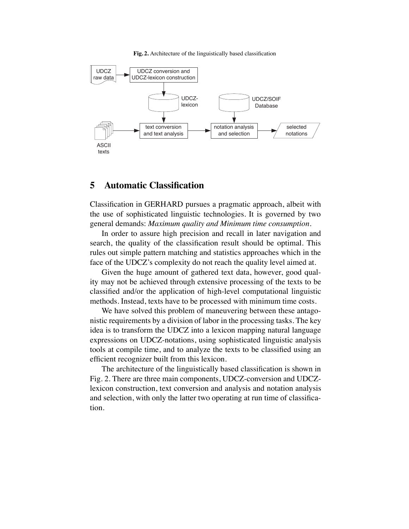**Fig. 2.** Architecture of the linguistically based classification



### **5 Automatic Classification**

Classification in GERHARD pursues a pragmatic approach, albeit with the use of sophisticated linguistic technologies. It is governed by two general demands: *Maximum quality and Minimum time consumption.*

In order to assure high precision and recall in later navigation and search, the quality of the classification result should be optimal. This rules out simple pattern matching and statistics approaches which in the face of the UDCZ's complexity do not reach the quality level aimed at.

Given the huge amount of gathered text data, however, good quality may not be achieved through extensive processing of the texts to be classified and/or the application of high-level computational linguistic methods. Instead, texts have to be processed with minimum time costs.

We have solved this problem of maneuvering between these antagonistic requirements by a division of labor in the processing tasks. The key idea is to transform the UDCZ into a lexicon mapping natural language expressions on UDCZ-notations, using sophisticated linguistic analysis tools at compile time, and to analyze the texts to be classified using an efficient recognizer built from this lexicon.

The architecture of the linguistically based classification is shown in Fig. 2. There are three main components, UDCZ-conversion and UDCZlexicon construction, text conversion and analysis and notation analysis and selection, with only the latter two operating at run time of classification.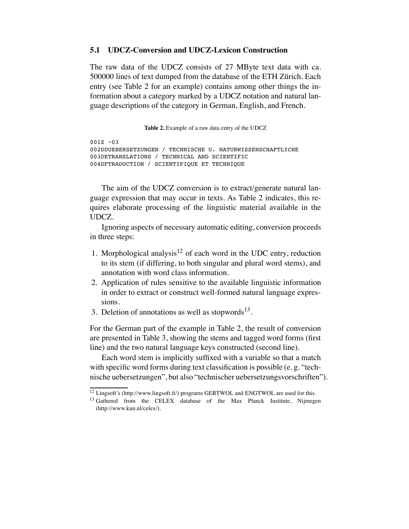#### **5.1 UDCZ-Conversion and UDCZ-Lexicon Construction**

The raw data of the UDCZ consists of 27 MByte text data with ca. 500000 lines of text dumped from the database of the ETH Zürich. Each entry (see Table 2 for an example) contains among other things the information about a category marked by a UDCZ notation and natural language descriptions of the category in German, English, and French.

```
Table 2. Example of a raw data entry of the UDCZ
```

```
001Z - 03002DDUEBERSETZUNGEN / TECHNISCHE U. NATURWISSENSCHAFTLICHE
003DETRANSLATIONS / TECHNICAL AND SCIENTIFIC
004DFTRADUCTION / SCIENTIFIQUE ET TECHNIQUE
```
The aim of the UDCZ conversion is to extract/generate natural language expression that may occur in texts. As Table 2 indicates, this requires elaborate processing of the linguistic material available in the UDCZ.

Ignoring aspects of necessary automatic editing, conversion proceeds in three steps:

- 1. Morphological analysis<sup>12</sup> of each word in the UDC entry, reduction to its stem (if differing, to both singular and plural word stems), and annotation with word class information.
- 2. Application of rules sensitive to the available linguistic information in order to extract or construct well-formed natural language expressions.
- 3. Deletion of annotations as well as stopwords $^{13}$ .

For the German part of the example in Table 2, the result of conversion are presented in Table 3, showing the stems and tagged word forms (first line) and the two natural language keys constructed (second line).

Each word stem is implicitly suffixed with a variable so that a match with specific word forms during text classification is possible (e.g. "technische uebersetzungen", but also "technischer uebersetzungsvorschriften").

<sup>&</sup>lt;sup>12</sup> Lingsoft's (http://www.lingsoft.fi/) programs GERTWOL and ENGTWOL are used for this.

<sup>&</sup>lt;sup>13</sup> Gathered from the CELEX database of the Max Planck Institute, Nijmegen (http://www.kun.nl/celex/).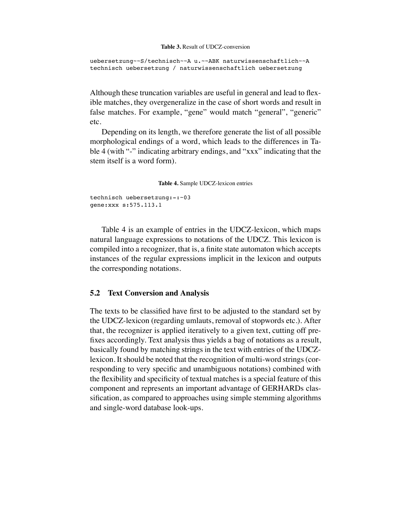```
uebersetzung~~S/technisch~~A u.~~ABK naturwissenschaftlich~~A
technisch uebersetzung / naturwissenschaftlich uebersetzung
```
Although these truncation variables are useful in general and lead to flexible matches, they overgeneralize in the case of short words and result in false matches. For example, "gene" would match "general", "generic" etc.

Depending on its length, we therefore generate the list of all possible morphological endings of a word, which leads to the differences in Table 4 (with "-" indicating arbitrary endings, and "xxx" indicating that the stem itself is a word form).

**Table 4.** Sample UDCZ-lexicon entries

technisch uebersetzung:-:~03 gene:xxx s:575.113.1

Table 4 is an example of entries in the UDCZ-lexicon, which maps natural language expressions to notations of the UDCZ. This lexicon is compiled into a recognizer, that is, a finite state automaton which accepts instances of the regular expressions implicit in the lexicon and outputs the corresponding notations.

#### **5.2 Text Conversion and Analysis**

The texts to be classified have first to be adjusted to the standard set by the UDCZ-lexicon (regarding umlauts, removal of stopwords etc.). After that, the recognizer is applied iteratively to a given text, cutting off prefixes accordingly. Text analysis thus yields a bag of notations as a result, basically found by matching strings in the text with entries of the UDCZlexicon. It should be noted that the recognition of multi-word strings (corresponding to very specific and unambiguous notations) combined with the flexibility and specificity of textual matches is a special feature of this component and represents an important advantage of GERHARDs classification, as compared to approaches using simple stemming algorithms and single-word database look-ups.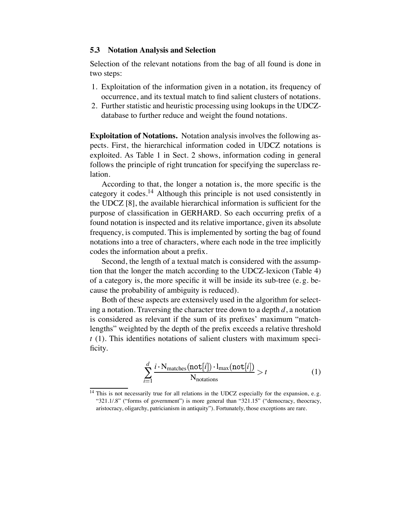#### **5.3 Notation Analysis and Selection**

Selection of the relevant notations from the bag of all found is done in two steps:

- 1. Exploitation of the information given in a notation, its frequency of occurrence, and its textual match to find salient clusters of notations.
- 2. Further statistic and heuristic processing using lookups in the UDCZdatabase to further reduce and weight the found notations.

**Exploitation of Notations.** Notation analysis involves the following aspects. First, the hierarchical information coded in UDCZ notations is exploited. As Table 1 in Sect. 2 shows, information coding in general follows the principle of right truncation for specifying the superclass relation.

According to that, the longer a notation is, the more specific is the category it codes.14 Although this principle is not used consistently in the UDCZ [8], the available hierarchical information is sufficient for the purpose of classification in GERHARD. So each occurring prefix of a found notation is inspected and its relative importance, given its absolute frequency, is computed. This is implemented by sorting the bag of found notations into a tree of characters, where each node in the tree implicitly codes the information about a prefix.

Second, the length of a textual match is considered with the assumption that the longer the match according to the UDCZ-lexicon (Table 4) of a category is, the more specific it will be inside its sub-tree (e. g. because the probability of ambiguity is reduced).

Both of these aspects are extensively used in the algorithm for selecting a notation. Traversing the character tree down to a depth *d*, a notation is considered as relevant if the sum of its prefixes' maximum "matchlengths" weighted by the depth of the prefix exceeds a relative threshold *t* (1). This identifies notations of salient clusters with maximum specificity.

$$
\sum_{i=1}^{d} \frac{i \cdot N_{\text{matches}}(\text{not}[i]) \cdot l_{\text{max}}(\text{not}[i])}{N_{\text{notations}}} > t
$$
 (1)

<sup>&</sup>lt;sup>14</sup> This is not necessarily true for all relations in the UDCZ especially for the expansion, e.g. "321.1/.8" ("forms of government") is more general than "321.15" ("democracy, theocracy, aristocracy, oligarchy, patricianism in antiquity"). Fortunately, those exceptions are rare.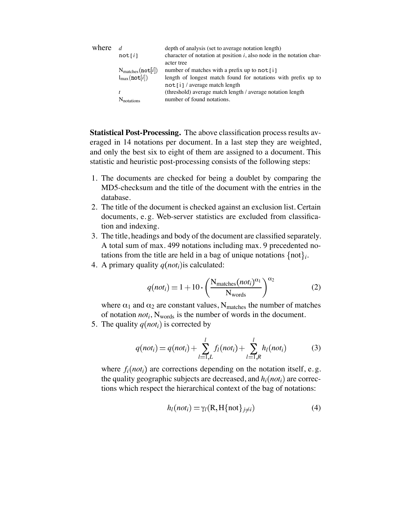| where |                                     | depth of analysis (set to average notation length)                      |
|-------|-------------------------------------|-------------------------------------------------------------------------|
|       | not[i]                              | character of notation at position $i$ , also node in the notation char- |
|       |                                     | acter tree                                                              |
|       | $N_{\text{matches}}(\text{not}[i])$ | number of matches with a prefix up to $not[i]$                          |
|       | $l_{\text{max}}(\text{not}[i])$     | length of longest match found for notations with prefix up to           |
|       |                                     | not[i] / average match length                                           |
|       | t                                   | (threshold) average match length / average notation length              |
|       | <b>N</b> notations                  | number of found notations.                                              |
|       |                                     |                                                                         |

**Statistical Post-Processing.** The above classification process results averaged in 14 notations per document. In a last step they are weighted, and only the best six to eight of them are assigned to a document. This statistic and heuristic post-processing consists of the following steps:

- 1. The documents are checked for being a doublet by comparing the MD5-checksum and the title of the document with the entries in the database.
- 2. The title of the document is checked against an exclusion list. Certain documents, e. g. Web-server statistics are excluded from classification and indexing.
- 3. The title, headings and body of the document are classified separately. A total sum of max. 499 notations including max. 9 precedented notations from the title are held in a bag of unique notations  $\{\text{not }\}_i$ .
- 4. A primary quality  $q (not<sub>i</sub>)$  is calculated:

$$
q(not_i) = 1 + 10 \cdot \left(\frac{N_{\text{matches}}(not_i)^{\alpha_1}}{N_{\text{words}}}\right)^{\alpha_2}
$$
 (2)

where  $\alpha_1$  and  $\alpha_2$  are constant values, N<sub>matches</sub> the number of matches of notation  $not_i$ ,  $N_{words}$  is the number of words in the document.

5. The quality  $q(not_i)$  is corrected by

$$
q(not_i) = q(not_i) + \sum_{l=1,L}^{l} f_l(not_i) + \sum_{l=1,R}^{l} h_l(not_i)
$$
 (3)

where  $f_i(not_i)$  are corrections depending on the notation itself, e.g. the quality geographic subjects are decreased, and  $h_i(not_i)$  are corrections which respect the hierarchical context of the bag of notations:

$$
h_l(not_i) = \gamma_l(R, H\{not\}_{j \neq i})
$$
\n(4)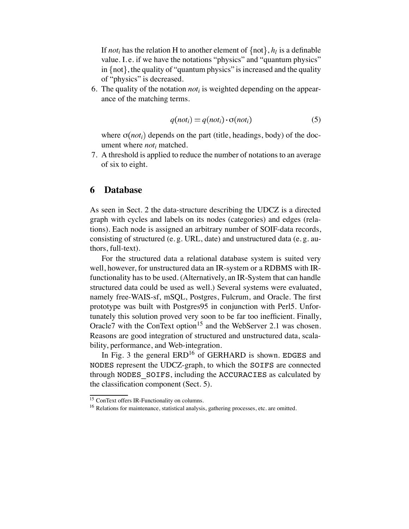If *not<sub>i</sub>* has the relation H to another element of  $\{not\}$ ,  $h_l$  is a definable value. I. e. if we have the notations "physics" and "quantum physics" in  $\{not\}$ , the quality of "quantum physics" is increased and the quality of "physics" is decreased.

6. The quality of the notation  $not_i$  is weighted depending on the appearance of the matching terms.

$$
q(noti) = q(noti) \cdot \sigma(noti)
$$
\n(5)

where  $\sigma (not_i)$  depends on the part (title, headings, body) of the document where *not<sub>i</sub>* matched.

7. A threshold is applied to reduce the number of notations to an average of six to eight.

### **6 Database**

As seen in Sect. 2 the data-structure describing the UDCZ is a directed graph with cycles and labels on its nodes (categories) and edges (relations). Each node is assigned an arbitrary number of SOIF-data records, consisting of structured (e. g. URL, date) and unstructured data (e. g. authors, full-text).

For the structured data a relational database system is suited very well, however, for unstructured data an IR-system or a RDBMS with IRfunctionality has to be used. (Alternatively, an IR-System that can handle structured data could be used as well.) Several systems were evaluated, namely free-WAIS-sf, mSQL, Postgres, Fulcrum, and Oracle. The first prototype was built with Postgres95 in conjunction with Perl5. Unfortunately this solution proved very soon to be far too inefficient. Finally, Oracle7 with the ConText option<sup>15</sup> and the WebServer 2.1 was chosen. Reasons are good integration of structured and unstructured data, scalability, performance, and Web-integration.

In Fig. 3 the general  $ERD<sup>16</sup>$  of GERHARD is shown. EDGES and NODES represent the UDCZ-graph, to which the SOIFS are connected through NODES SOIFS, including the ACCURACIES as calculated by the classification component (Sect. 5).

<sup>15</sup> ConText offers IR-Functionality on columns.

<sup>&</sup>lt;sup>16</sup> Relations for maintenance, statistical analysis, gathering processes, etc. are omitted.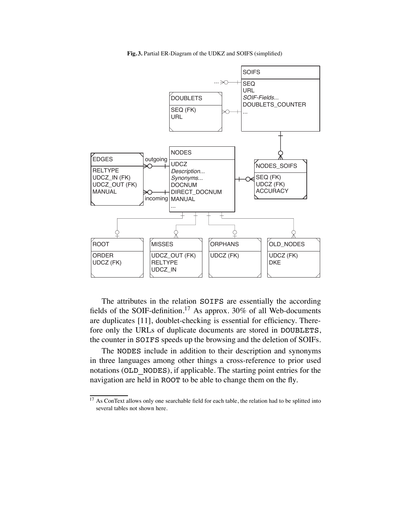**Fig. 3.** Partial ER-Diagram of the UDKZ and SOIFS (simplified)



The attributes in the relation SOIFS are essentially the according fields of the SOIF-definition.<sup>17</sup> As approx. 30% of all Web-documents are duplicates [11], doublet-checking is essential for efficiency. Therefore only the URLs of duplicate documents are stored in DOUBLETS, the counter in SOIFS speeds up the browsing and the deletion of SOIFs.

The NODES include in addition to their description and synonyms in three languages among other things a cross-reference to prior used notations (OLD\_NODES), if applicable. The starting point entries for the navigation are held in ROOT to be able to change them on the fly.

<sup>&</sup>lt;sup>17</sup> As ConText allows only one searchable field for each table, the relation had to be splitted into several tables not shown here.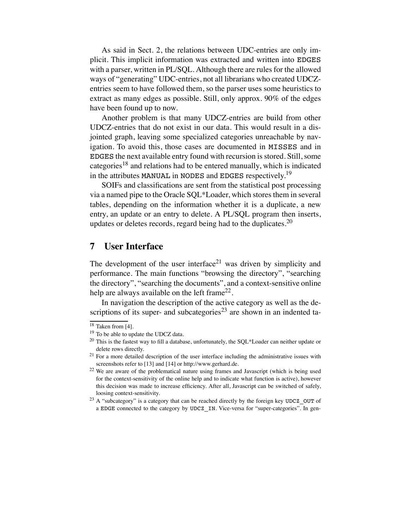As said in Sect. 2, the relations between UDC-entries are only implicit. This implicit information was extracted and written into EDGES with a parser, written in PL/SQL. Although there are rules for the allowed ways of "generating" UDC-entries, not all librarians who created UDCZentries seem to have followed them, so the parser uses some heuristics to extract as many edges as possible. Still, only approx. 90% of the edges have been found up to now.

Another problem is that many UDCZ-entries are build from other UDCZ-entries that do not exist in our data. This would result in a disjointed graph, leaving some specialized categories unreachable by navigation. To avoid this, those cases are documented in MISSES and in EDGES the next available entry found with recursion is stored. Still, some categories<sup>18</sup> and relations had to be entered manually, which is indicated in the attributes MANUAL in NODES and EDGES respectively.<sup>19</sup>

SOIFs and classifications are sent from the statistical post processing via a named pipe to the Oracle SQL\*Loader, which stores them in several tables, depending on the information whether it is a duplicate, a new entry, an update or an entry to delete. A PL/SQL program then inserts, updates or deletes records, regard being had to the duplicates. $^{20}$ 

## **7 User Interface**

The development of the user interface<sup>21</sup> was driven by simplicity and performance. The main functions "browsing the directory", "searching the directory", "searching the documents", and a context-sensitive online help are always available on the left frame<sup>22</sup>.

In navigation the description of the active category as well as the descriptions of its super- and subcategories<sup>23</sup> are shown in an indented ta-

<sup>&</sup>lt;sup>18</sup> Taken from [4].

<sup>&</sup>lt;sup>19</sup> To be able to update the UDCZ data.

<sup>&</sup>lt;sup>20</sup> This is the fastest way to fill a database, unfortunately, the SQL\*Loader can neither update or delete rows directly.

<sup>21</sup> For a more detailed description of the user interface including the administrative issues with screenshots refer to [13] and [14] or http://www.gerhard.de.

<sup>22</sup> We are aware of the problematical nature using frames and Javascript (which is being used for the context-sensitivity of the online help and to indicate what function is active), however this decision was made to increase efficiency. After all, Javascript can be switched of safely, loosing context-sensitivity.

 $23$  A "subcategory" is a category that can be reached directly by the foreign key UDCZ OUT of a EDGE connected to the category by UDCZ IN. Vice-versa for "super-categories". In gen-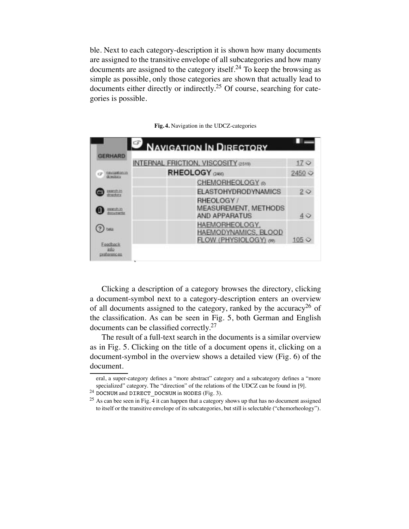ble. Next to each category-description it is shown how many documents are assigned to the transitive envelope of all subcategories and how many documents are assigned to the category itself.<sup>24</sup> To keep the browsing as simple as possible, only those categories are shown that actually lead to documents either directly or indirectly.<sup>25</sup> Of course, searching for categories is possible.



**Fig. 4.** Navigation in the UDCZ-categories

Clicking a description of a category browses the directory, clicking a document-symbol next to a category-description enters an overview of all documents assigned to the category, ranked by the accuracy<sup>26</sup> of the classification. As can be seen in Fig. 5, both German and English documents can be classified correctly.<sup>27</sup>

The result of a full-text search in the documents is a similar overview as in Fig. 5. Clicking on the title of a document opens it, clicking on a document-symbol in the overview shows a detailed view (Fig. 6) of the document.

eral, a super-category defines a "more abstract" category and a subcategory defines a "more specialized" category. The "direction" of the relations of the UDCZ can be found in [9].

 $^{24}$  DOCNUM and DIRECT DOCNUM in NODES (Fig. 3).

 $25$  As can bee seen in Fig. 4 it can happen that a category shows up that has no document assigned to itself or the transitive envelope of its subcategories, but still is selectable ("chemorheology").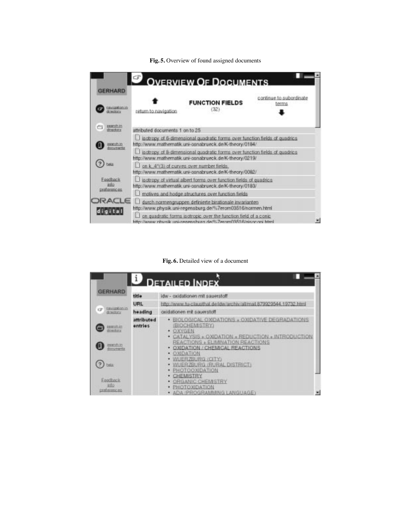

**Fig. 5.** Overview of found assigned documents

#### **Fig. 6.** Detailed view of a document

| <b>GERHARD</b><br>blocation in<br>rT                                                                          | title<br><b>URL</b>   | <b>DETAILED INDEX</b><br>idw - oxidationen mit sauerstoff<br>http://www.tu-clausthal.de/idw/archiv/all/mail.879929544.19732.html                                                                                                                                                                                                                      |  |
|---------------------------------------------------------------------------------------------------------------|-----------------------|-------------------------------------------------------------------------------------------------------------------------------------------------------------------------------------------------------------------------------------------------------------------------------------------------------------------------------------------------------|--|
| directory                                                                                                     | heading               | oxidationen mit sauerstoff.                                                                                                                                                                                                                                                                                                                           |  |
| amesin.kr<br>Womatura<br>zearshin<br>documenta<br>bala<br>Feedback<br><b>sylu</b><br><b>CITED AT EXECUTES</b> | attributed<br>entries | . BIOLOGICAL OXIDATIONS + OXIDATIVE DEGRADATIONS<br>(BIOCHEMISTRY)<br>· OXYGEN<br>+ CATALYSIS + OXPATION + REDUCTION + INTRODUCTION<br>REACTIONS + ELIMINATION REACTIONS<br>OXIDATION / CHEMICAL REACTIONS<br>OXIDATION<br><b>WUERZBURG (CITY)</b><br>WUERZBURG (RURAL DISTRICT)<br>PHOTOOXIDATION<br>CHEMISTRY<br>ORGANIC CHEMISTRY<br>PHOTOXIDATION |  |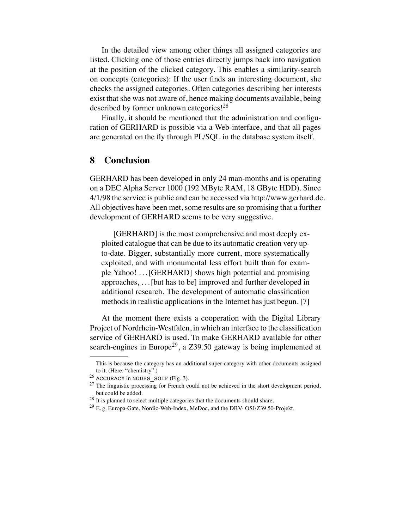In the detailed view among other things all assigned categories are listed. Clicking one of those entries directly jumps back into navigation at the position of the clicked category. This enables a similarity-search on concepts (categories): If the user finds an interesting document, she checks the assigned categories. Often categories describing her interests exist that she was not aware of, hence making documents available, being described by former unknown categories!<sup>28</sup>

Finally, it should be mentioned that the administration and configuration of GERHARD is possible via a Web-interface, and that all pages are generated on the fly through PL/SQL in the database system itself.

### **8 Conclusion**

GERHARD has been developed in only 24 man-months and is operating on a DEC Alpha Server 1000 (192 MByte RAM, 18 GByte HDD). Since 4/1/98 the service is public and can be accessed via http://www.gerhard.de. All objectives have been met, some results are so promising that a further development of GERHARD seems to be very suggestive.

[GERHARD] is the most comprehensive and most deeply exploited catalogue that can be due to its automatic creation very upto-date. Bigger, substantially more current, more systematically exploited, and with monumental less effort built than for example Yahoo! . . . [GERHARD] shows high potential and promising approaches, . . . [but has to be] improved and further developed in additional research. The development of automatic classification methods in realistic applications in the Internet has just begun. [7]

At the moment there exists a cooperation with the Digital Library Project of Nordrhein-Westfalen, in which an interface to the classification service of GERHARD is used. To make GERHARD available for other search-engines in Europe<sup>29</sup>, a Z39.50 gateway is being implemented at

This is because the category has an additional super-category with other documents assigned to it. (Here: "chemistry".)

<sup>26</sup> ACCURACY in NODES\_SOIF (Fig. 3).

 $27$  The linguistic processing for French could not be achieved in the short development period, but could be added.

<sup>&</sup>lt;sup>28</sup> It is planned to select multiple categories that the documents should share.

<sup>29</sup> E. g. Europa-Gate, Nordic-Web-Index, MeDoc, and the DBV- OSI/Z39.50-Projekt.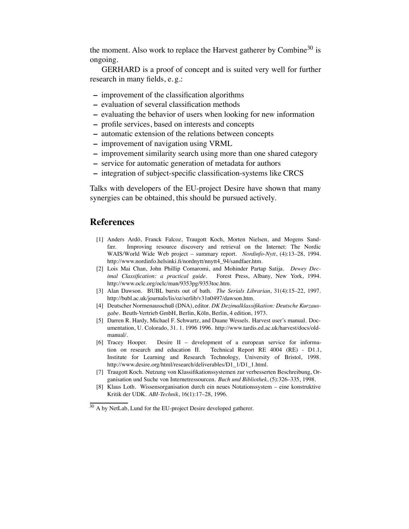the moment. Also work to replace the Harvest gatherer by Combine<sup>30</sup> is ongoing.

GERHARD is a proof of concept and is suited very well for further research in many fields, e. g.:

- **–** improvement of the classification algorithms
- **–** evaluation of several classification methods
- **–** evaluating the behavior of users when looking for new information
- **–** profile services, based on interests and concepts
- **–** automatic extension of the relations between concepts
- **–** improvement of navigation using VRML
- **–** improvement similarity search using more than one shared category
- **–** service for automatic generation of metadata for authors
- **–** integration of subject-specific classification-systems like CRCS

Talks with developers of the EU-project Desire have shown that many synergies can be obtained, this should be pursued actively.

### **References**

- [1] Anders Ardö, Franck Falcoz, Traugott Koch, Morten Nielsen, and Mogens Sand-Improving resource discovery and retrieval on the Internet: The Nordic WAIS/World Wide Web project – summary report. *Nordinfo-Nytt*, (4):13–28, 1994. http://www.nordinfo.helsinki.fi/nordnytt/nnytt4\_94/sandfaer.htm.
- [2] Lois Mai Chan, John Phillip Comaromi, and Mohinder Partap Satija. *Dewey Decimal Classification: a practical guide*. Forest Press, Albany, New York, 1994. http://www.oclc.org/oclc/man/9353pg/9353toc.htm.
- [3] Alan Dawson. BUBL bursts out of bath. *The Serials Librarian*, 31(4):15–22, 1997. http://bubl.ac.uk/journals/lis/oz/serlib/v31n0497/dawson.htm.
- [4] Deutscher Normenausschuß (DNA), editor. *DK Dezimalklassifikation: Deutsche Kurzausgabe*. Beuth-Vertrieb GmbH, Berlin, Köln, Berlin, 4 edition, 1973.
- [5] Darren R. Hardy, Michael F. Schwartz, and Duane Wessels. Harvest user's manual. Documentation, U. Colorado, 31. 1. 1996 1996. http://www.tardis.ed.ac.uk/harvest/docs/oldmanual/.
- [6] Tracey Hooper. Desire II development of a european service for information on research and education II. Technical Report RE 4004 (RE) - D1.1, Institute for Learning and Research Technology, University of Bristol, 1998. http://www.desire.org/html/research/deliverables/D1\_1/D1\_1.html.
- [7] Traugott Koch. Nutzung von Klassifikationssystemen zur verbesserten Beschreibung, Organisation und Suche von Internetressourcen. *Buch und Bibliothek*, (5):326–335, 1998.
- [8] Klaus Loth. Wissensorganisation durch ein neues Notationssystem eine konstruktive Kritik der UDK. *ABI-Technik*, 16(1):17–28, 1996.

<sup>&</sup>lt;sup>30</sup> A by NetLab, Lund for the EU-project Desire developed gatherer.